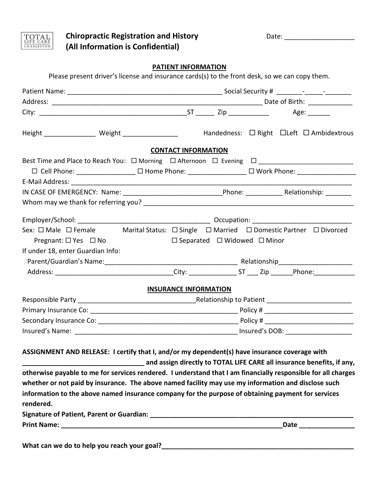



Chiropractic Registration and History **Date: Date: Date: Date: Date: Date: Date: Date: Date: Date: Date: Date: Date: Date: Date: Date: Date: Date: Date: Date: Date: Date: Date: (All Information is Confidential)**

## **PATIENT INFORMATION**

| Please present driver's license and insurance cards(s) to the front desk, so we can copy them.                                                                          |                                              |                                                                                                     |  |  |                                                          |
|-------------------------------------------------------------------------------------------------------------------------------------------------------------------------|----------------------------------------------|-----------------------------------------------------------------------------------------------------|--|--|----------------------------------------------------------|
|                                                                                                                                                                         |                                              |                                                                                                     |  |  |                                                          |
|                                                                                                                                                                         |                                              |                                                                                                     |  |  |                                                          |
|                                                                                                                                                                         |                                              |                                                                                                     |  |  |                                                          |
| Height ____________________ Weight ____________________                                                                                                                 |                                              |                                                                                                     |  |  | Handedness: $\Box$ Right $\Box$ Left $\Box$ Ambidextrous |
|                                                                                                                                                                         | <b>CONTACT INFORMATION</b>                   |                                                                                                     |  |  |                                                          |
|                                                                                                                                                                         |                                              |                                                                                                     |  |  |                                                          |
|                                                                                                                                                                         |                                              | □ Cell Phone: ________________ □ Home Phone: _______________ □ Work Phone: ________________________ |  |  |                                                          |
|                                                                                                                                                                         |                                              |                                                                                                     |  |  |                                                          |
|                                                                                                                                                                         |                                              |                                                                                                     |  |  |                                                          |
|                                                                                                                                                                         |                                              |                                                                                                     |  |  |                                                          |
|                                                                                                                                                                         |                                              |                                                                                                     |  |  |                                                          |
| Sex: □ Male □ Female Marital Status: □ Single □ Married □ Domestic Partner □ Divorced                                                                                   |                                              |                                                                                                     |  |  |                                                          |
| Pregnant: $\square$ Yes $\square$ No                                                                                                                                    | $\Box$ Separated $\Box$ Widowed $\Box$ Minor |                                                                                                     |  |  |                                                          |
| If under 18, enter Guardian Info:                                                                                                                                       |                                              |                                                                                                     |  |  |                                                          |
|                                                                                                                                                                         |                                              |                                                                                                     |  |  |                                                          |
|                                                                                                                                                                         |                                              |                                                                                                     |  |  |                                                          |
|                                                                                                                                                                         | <b>INSURANCE INFORMATION</b>                 |                                                                                                     |  |  |                                                          |
|                                                                                                                                                                         |                                              |                                                                                                     |  |  |                                                          |
|                                                                                                                                                                         |                                              |                                                                                                     |  |  |                                                          |
|                                                                                                                                                                         |                                              |                                                                                                     |  |  |                                                          |
|                                                                                                                                                                         |                                              |                                                                                                     |  |  |                                                          |
| ASSIGNMENT AND RELEASE: I certify that I, and/or my dependent(s) have insurance coverage with<br>and assign directly to TOTAL LIFE CARE all insurance benefits, if any, |                                              |                                                                                                     |  |  |                                                          |
| otherwise payable to me for services rendered. I understand that I am financially responsible for all charges                                                           |                                              |                                                                                                     |  |  |                                                          |
| whether or not paid by insurance. The above named facility may use my information and disclose such                                                                     |                                              |                                                                                                     |  |  |                                                          |
| information to the above named insurance company for the purpose of obtaining payment for services<br>rendered.                                                         |                                              |                                                                                                     |  |  |                                                          |
|                                                                                                                                                                         |                                              |                                                                                                     |  |  |                                                          |
|                                                                                                                                                                         |                                              |                                                                                                     |  |  |                                                          |
|                                                                                                                                                                         |                                              |                                                                                                     |  |  |                                                          |

**What can we do to help you reach your goal?\_\_\_\_\_\_\_\_\_\_\_\_\_\_\_\_\_\_\_\_\_\_\_\_\_\_\_\_\_\_\_\_\_\_\_\_\_\_\_\_\_\_\_\_\_\_\_\_\_\_\_\_**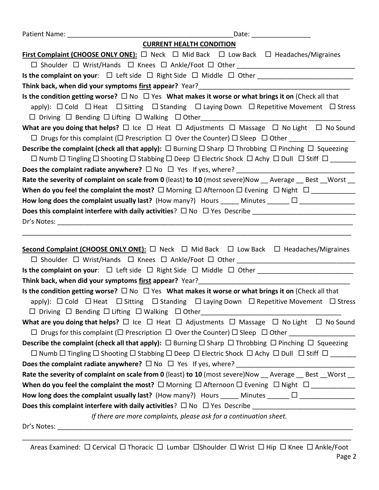|             | <b>CURRENT HEALTH CONDITION</b>                                                                                                                                                                                                                                                              |
|-------------|----------------------------------------------------------------------------------------------------------------------------------------------------------------------------------------------------------------------------------------------------------------------------------------------|
|             | <b>First Complaint (CHOOSE ONLY ONE):</b> $\square$ Neck $\square$ Mid Back $\square$ Low Back $\square$ Headaches/Migraines                                                                                                                                                                 |
|             |                                                                                                                                                                                                                                                                                              |
|             |                                                                                                                                                                                                                                                                                              |
|             |                                                                                                                                                                                                                                                                                              |
|             | Is the condition getting worse? $\Box$ No $\Box$ Yes What makes it worse or what brings it on (Check all that                                                                                                                                                                                |
|             | apply): $\Box$ Cold $\Box$ Heat $\Box$ Sitting $\Box$ Standing $\Box$ Laying Down $\Box$ Repetitive Movement $\Box$ Stress                                                                                                                                                                   |
|             | □ Driving □ Bending □ Lifting □ Walking □ Other_________________________________                                                                                                                                                                                                             |
|             | What are you doing that helps? $\Box$ Ice $\Box$ Heat $\Box$ Adjustments $\Box$ Massage $\Box$ No Light $\Box$ No Sound                                                                                                                                                                      |
|             |                                                                                                                                                                                                                                                                                              |
|             | <b>Describe the complaint (check all that apply):</b> $\Box$ Burning $\Box$ Sharp $\Box$ Throbbing $\Box$ Pinching $\Box$ Squeezing                                                                                                                                                          |
|             | $\Box$ Numb $\Box$ Tingling $\Box$ Shooting $\Box$ Stabbing $\Box$ Deep $\Box$ Electric Shock $\Box$ Achy $\Box$ Dull $\Box$ Stiff $\Box$                                                                                                                                                    |
|             |                                                                                                                                                                                                                                                                                              |
|             | Rate the severity of complaint on scale from 0 (least) to 10 (most severe)Now Average Best Worst                                                                                                                                                                                             |
|             | When do you feel the complaint the most? $\Box$ Morning $\Box$ Afternoon $\Box$ Evening $\Box$ Night $\Box$ __________                                                                                                                                                                       |
|             |                                                                                                                                                                                                                                                                                              |
|             |                                                                                                                                                                                                                                                                                              |
|             |                                                                                                                                                                                                                                                                                              |
|             | <b>Second Complaint (CHOOSE ONLY ONE):</b> $\Box$ Neck $\Box$ Mid Back $\Box$ Low Back $\Box$ Headaches/Migraines<br>Is the complaint on your: □ Left side □ Right Side □ Middle □ Other _______________________________                                                                     |
|             | Think back, when did your symptoms first appear? Year?                                                                                                                                                                                                                                       |
|             | Is the condition getting worse? $\Box$ No $\Box$ Yes What makes it worse or what brings it on (Check all that<br>apply): □ Cold □ Heat □ Sitting □ Standing □ Laying Down □ Repetitive Movement □ Stress<br>□ Driving □ Bending □ Lifting □ Walking □ Other_________________________________ |
|             | What are you doing that helps? $\Box$ Ice $\Box$ Heat $\Box$ Adjustments $\Box$ Massage $\Box$ No Light $\Box$ No Sound                                                                                                                                                                      |
|             |                                                                                                                                                                                                                                                                                              |
|             | <b>Describe the complaint (check all that apply):</b> $\Box$ Burning $\Box$ Sharp $\Box$ Throbbing $\Box$ Pinching $\Box$ Squeezing                                                                                                                                                          |
|             | $\Box$ Numb $\Box$ Tingling $\Box$ Shooting $\Box$ Stabbing $\Box$ Deep $\Box$ Electric Shock $\Box$ Achy $\Box$ Dull $\Box$ Stiff $\Box$                                                                                                                                                    |
|             |                                                                                                                                                                                                                                                                                              |
|             | Rate the severity of complaint on scale from 0 (least) to 10 (most severe) Now __ Average __ Best __ Worst __                                                                                                                                                                                |
|             | When do you feel the complaint the most? $\Box$ Morning $\Box$ Afternoon $\Box$ Evening $\Box$ Night $\Box$ _____________                                                                                                                                                                    |
|             | How long does the complaint usually last? (How many?) Hours _____ Minutes ______ $\Box$ _________________                                                                                                                                                                                    |
|             |                                                                                                                                                                                                                                                                                              |
|             | If there are more complaints, please ask for a continuation sheet.                                                                                                                                                                                                                           |
| Dr's Notes: |                                                                                                                                                                                                                                                                                              |

Areas Examined:  $\Box$  Cervical  $\Box$  Thoracic  $\Box$  Lumbar  $\Box$ Shoulder  $\Box$  Wrist  $\Box$  Hip  $\Box$  Knee  $\Box$  Ankle/Foot

\_\_\_\_\_\_\_\_\_\_\_\_\_\_\_\_\_\_\_\_\_\_\_\_\_\_\_\_\_\_\_\_\_\_\_\_\_\_\_\_\_\_\_\_\_\_\_\_\_\_\_\_\_\_\_\_\_\_\_\_\_\_\_\_\_\_\_\_\_\_\_\_\_\_\_\_\_\_\_\_\_\_\_\_\_\_\_\_\_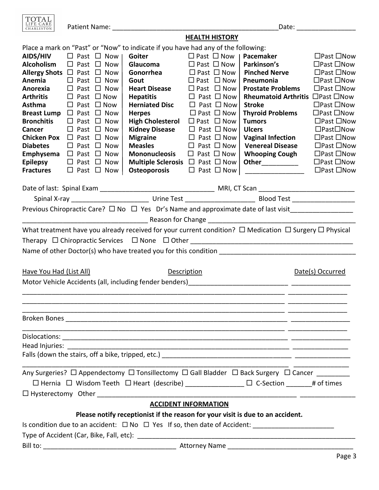TOTAL LIFE CARE Patient Name: \_\_\_\_\_\_\_\_\_\_\_\_\_\_\_\_\_\_\_\_\_\_\_\_\_\_\_\_\_\_\_\_\_\_\_\_\_\_\_\_\_\_\_\_\_Date: \_\_\_\_\_\_\_\_\_\_\_\_\_\_\_\_ CHARLESTON **HEALTH HISTORY** Place a mark on "Past" or "Now" to indicate if you have had any of the following: **AIDS/HIV** Past Now **Goiter** Past Now **Pacemaker** Past Now **Alcoholism**  $\Box$  Past  $\Box$  Now | Glaucoma  $\Box$  Past  $\Box$  Now | Parkinson's  $\Box$  Past  $\Box$  Now **Allergy Shots**  $\Box$  Past  $\Box$  Now | Gonorrhea  $\Box$  Past  $\Box$  Now | Pinched Nerve  $\Box$  Past  $\Box$  Now **Anemia** Past Now **Gout** Past Now **Pneumonia** Past Now **Anorexia** Past Now **Heart Disease** Past Now **Prostate Problems** Past Now **Arthritis**  $\Box$  Past  $\Box$  Now **Hepatitis**  $\Box$  Past  $\Box$  Now **Rheumatoid Arthritis**  $\Box$  Past  $\Box$  Now **Asthma** Past Now **Herniated Disc** Past Now **Stroke** Past Now **Breast Lump**  $\Box$  Past  $\Box$  Now | **Herpes**  $\Box$  Past  $\Box$  Now | **Thyroid Problems**  $\Box$  Past  $\Box$  Now **Bronchitis**  $\Box$  Past  $\Box$  Now | **High Cholesterol**  $\Box$  Past  $\Box$  Now | **Tumors**  $\Box$  Past  $\Box$  Now **Cancer** Past Now **Kidney Disease** Past Now **Ulcers** PastNow **Chicken Pox**  $\Box$  Past  $\Box$  Now | Migraine  $\Box$  Past  $\Box$  Now | Vaginal Infection  $\Box$  Past  $\Box$  Now **Diabetes** Past Now **Measles** Past Now **Venereal Disease** Past Now **Emphysema**  $\Box$  Past  $\Box$  Now | **Mononucleosis**  $\Box$  Past  $\Box$  Now | **Whooping Cough**  $\Box$  Past  $\Box$  Now **Epilepsy** Past Now **Multiple Sclerosis**  Past Now **Other**\_\_\_\_\_\_\_\_\_\_ Past Now **Fractures**  $\Box$  Past  $\Box$  Now | **Osteoporosis**  $\Box$  Past  $\Box$  Now |  $\Box$  Past  $\Box$  Now Date of last: Spinal Exam \_\_\_\_\_\_\_\_\_\_\_\_\_\_\_\_\_\_\_\_\_\_\_\_\_\_\_\_\_\_\_ MRI, CT Scan \_\_\_\_\_\_\_\_\_\_\_\_\_\_\_\_\_\_\_\_\_\_\_\_\_\_ Spinal X-ray \_\_\_\_\_\_\_\_\_\_\_\_\_\_\_\_\_\_\_\_\_ Urine Test \_\_\_\_\_\_\_\_\_\_\_\_\_\_\_\_\_\_\_ Blood Test \_\_\_\_\_\_\_\_\_\_\_\_\_\_\_\_\_ Previous Chiropractic Care?  $\Box$  No  $\Box$  Yes Dr's Name and approximate date of last visit and the set of the set of the set of the set of the set of the set of the set of the set of the set of the set o What treatment have you already received for your current condition?  $\Box$  Medication  $\Box$  Surgery  $\Box$  Physical Therapy  $\Box$  Chiropractic Services  $\Box$  None  $\Box$  Other Name of other Doctor(s) who have treated you for this condition Have You Had (List All) The Superinten Description The Description Date(s) Occurred Motor Vehicle Accidents (all, including fender benders)\_\_\_\_\_\_\_\_\_\_\_\_\_\_\_\_\_\_\_\_\_\_\_\_\_\_\_ \_\_\_\_\_\_\_\_\_\_\_\_\_\_\_\_ \_\_\_\_\_\_\_\_\_\_\_\_\_\_\_\_\_\_\_\_\_\_\_\_\_\_\_\_\_\_\_\_\_\_\_\_\_\_\_\_\_\_\_\_\_\_\_\_\_\_\_\_\_\_\_\_\_\_\_\_\_\_\_\_\_\_\_\_\_\_\_ \_\_\_\_\_\_\_\_\_\_\_\_\_\_\_\_ \_\_\_\_\_\_\_\_\_\_\_\_\_\_\_\_\_\_\_\_\_\_\_\_\_\_\_\_\_\_\_\_\_\_\_\_\_\_\_\_\_\_\_\_\_\_\_\_\_\_\_\_\_\_\_\_\_\_\_\_\_\_\_\_\_\_\_\_\_\_\_ \_\_\_\_\_\_\_\_\_\_\_\_\_\_\_\_ \_\_\_\_\_\_\_\_\_\_\_\_\_\_\_\_\_\_\_\_\_\_\_\_\_\_\_\_\_\_\_\_\_\_\_\_\_\_\_\_\_\_\_\_\_\_\_\_\_\_\_\_\_\_\_\_\_\_\_\_\_\_\_\_\_\_\_\_\_\_\_ \_\_\_\_\_\_\_\_\_\_\_\_\_\_\_\_ Broken Bones \_\_\_\_\_\_\_\_\_\_\_\_\_\_\_\_\_\_\_\_\_\_\_\_\_\_\_\_\_\_\_\_\_\_\_\_\_\_\_\_\_\_\_\_\_\_\_\_\_\_\_\_\_\_\_\_\_\_\_\_ \_\_\_\_\_\_\_\_\_\_\_\_\_\_\_\_ \_\_\_\_\_\_\_\_\_\_\_\_\_\_\_\_\_\_\_\_\_\_\_\_\_\_\_\_\_\_\_\_\_\_\_\_\_\_\_\_\_\_\_\_\_\_\_\_\_\_\_\_\_\_\_\_\_\_\_\_\_\_\_\_\_\_\_\_\_\_\_ \_\_\_\_\_\_\_\_\_\_\_\_\_\_\_\_ Dislocations: \_\_\_\_\_\_\_\_\_\_\_\_\_\_\_\_\_\_\_\_\_\_\_\_\_\_\_\_\_\_\_\_\_\_\_\_\_\_\_\_\_\_\_\_\_\_\_\_\_\_\_\_\_\_\_\_\_\_\_\_\_ \_\_\_\_\_\_\_\_\_\_\_\_\_\_\_\_ Head Injuries: \_\_\_\_\_\_\_\_\_\_\_\_\_\_\_\_\_\_\_\_\_\_\_\_\_\_\_\_\_\_\_\_\_\_\_\_\_\_\_\_\_\_\_\_\_\_\_\_\_\_\_\_\_\_\_\_\_\_\_\_ \_\_\_\_\_\_\_\_\_\_\_\_\_\_\_ Falls (down the stairs, off a bike, tripped, etc.) \_\_\_\_\_\_\_\_\_\_\_\_\_\_\_\_\_\_\_\_\_\_\_\_\_\_\_\_\_\_ \_\_\_\_\_\_\_\_\_\_\_\_\_\_\_\_\_\_\_\_\_\_\_\_\_\_\_\_\_\_\_\_\_\_\_\_\_\_\_\_\_\_\_\_\_\_\_\_\_\_\_\_\_\_\_\_\_\_\_\_\_\_\_\_\_\_\_\_\_\_\_\_ \_\_\_\_\_\_\_\_\_\_\_\_\_\_\_ Any Surgeries?  $\Box$  Appendectomy  $\Box$  Ionsillectomy  $\Box$  Gall Bladder  $\Box$  Back Surgery  $\Box$  Cancer

| Any Surgenes: $\Box$ Appendectumy $\Box$ runsmectumy $\Box$ Gan biadder $\Box$ back Surgery $\Box$ Cancer |                  |            |  |  |  |  |
|-----------------------------------------------------------------------------------------------------------|------------------|------------|--|--|--|--|
| $\Box$ Hernia $\Box$ Wisdom Teeth $\Box$ Heart (describe)                                                 | $\Box$ C-Section | # of times |  |  |  |  |
| $\Box$ Hysterectomy Other                                                                                 |                  |            |  |  |  |  |
| <b>ACCIDENT INFORMATION</b>                                                                               |                  |            |  |  |  |  |
| Please notify receptionist if the reason for your visit is due to an accident.                            |                  |            |  |  |  |  |
|                                                                                                           |                  |            |  |  |  |  |

Is condition due to an accident:  $\Box$  No  $\Box$  Yes If so, then date of Accident: Type of Accident (Car, Bike, Fall, etc): \_\_\_\_\_\_\_\_\_\_\_\_\_\_\_\_\_\_\_\_\_\_\_\_\_\_\_\_\_\_\_\_\_\_\_\_\_\_\_\_\_\_\_\_\_\_\_\_\_\_\_\_\_\_\_\_\_\_\_

Bill to: \_\_\_\_\_\_\_\_\_\_\_\_\_\_\_\_\_\_\_\_\_\_\_\_\_\_\_\_\_\_\_\_\_\_\_\_ Attorney Name \_\_\_\_\_\_\_\_\_\_\_\_\_\_\_\_\_\_\_\_\_\_\_\_\_\_\_\_\_\_\_\_\_\_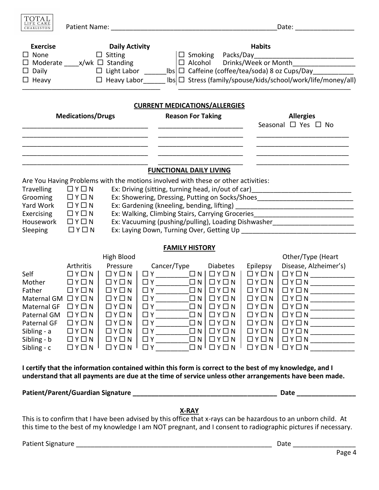

| <b>Exercise</b><br>$\Box$ None<br>$\Box$ Daily<br>$\Box$ Heavy                                                                                                                                                   |                                                                                                                                                            | <b>Daily Activity</b><br>$\Box$ Sitting<br>$\Box$ Moderate _____ x/wk $\Box$ Standing                                                                                                                                                       |                                                                                                                                                                                                      | <b>Habits</b><br>$\Box$ Smoking Packs/Day<br>$\Box$ Alcohol<br>□ Heavy Labor______ lbs □ Stress (family/spouse/kids/school/work/life/money/all)                                             |                                                   |                                                                                                                                                                                                                 |                                                                                                                                                                                                                                                                                                                                              |
|------------------------------------------------------------------------------------------------------------------------------------------------------------------------------------------------------------------|------------------------------------------------------------------------------------------------------------------------------------------------------------|---------------------------------------------------------------------------------------------------------------------------------------------------------------------------------------------------------------------------------------------|------------------------------------------------------------------------------------------------------------------------------------------------------------------------------------------------------|---------------------------------------------------------------------------------------------------------------------------------------------------------------------------------------------|---------------------------------------------------|-----------------------------------------------------------------------------------------------------------------------------------------------------------------------------------------------------------------|----------------------------------------------------------------------------------------------------------------------------------------------------------------------------------------------------------------------------------------------------------------------------------------------------------------------------------------------|
| <b>Medications/Drugs</b>                                                                                                                                                                                         |                                                                                                                                                            |                                                                                                                                                                                                                                             | <b>CURRENT MEDICATIONS/ALLERGIES</b><br><b>Reason For Taking</b>                                                                                                                                     |                                                                                                                                                                                             | <b>Allergies</b><br>Seasonal $\Box$ Yes $\Box$ No |                                                                                                                                                                                                                 |                                                                                                                                                                                                                                                                                                                                              |
|                                                                                                                                                                                                                  |                                                                                                                                                            |                                                                                                                                                                                                                                             |                                                                                                                                                                                                      |                                                                                                                                                                                             |                                                   |                                                                                                                                                                                                                 |                                                                                                                                                                                                                                                                                                                                              |
|                                                                                                                                                                                                                  |                                                                                                                                                            |                                                                                                                                                                                                                                             | <b>FUNCTIONAL DAILY LIVING</b><br>Are You Having Problems with the motions involved with these or other activities:                                                                                  |                                                                                                                                                                                             |                                                   |                                                                                                                                                                                                                 |                                                                                                                                                                                                                                                                                                                                              |
| <b>Travelling</b><br>Grooming<br>Yard Work<br>Exercising<br>Housework<br>Sleeping                                                                                                                                | $\Box Y \Box N$<br>$\Box Y \Box N$<br>$\Box Y \Box N$<br>$\Box Y \Box N$<br>$\Box$ $Y \Box N$<br>$\Box Y \Box N$                                           |                                                                                                                                                                                                                                             |                                                                                                                                                                                                      |                                                                                                                                                                                             |                                                   |                                                                                                                                                                                                                 | Ex: Driving (sitting, turning head, in/out of car) _____________________________<br>Ex: Showering, Dressing, Putting on Socks/Shoes_________________________________<br>Ex: Walking, Climbing Stairs, Carrying Groceries________________________________<br>Ex: Vacuuming (pushing/pulling), Loading Dishwasher_____________________________ |
|                                                                                                                                                                                                                  |                                                                                                                                                            |                                                                                                                                                                                                                                             | <b>FAMILY HISTORY</b>                                                                                                                                                                                |                                                                                                                                                                                             |                                                   |                                                                                                                                                                                                                 |                                                                                                                                                                                                                                                                                                                                              |
|                                                                                                                                                                                                                  |                                                                                                                                                            | High Blood                                                                                                                                                                                                                                  |                                                                                                                                                                                                      |                                                                                                                                                                                             |                                                   |                                                                                                                                                                                                                 | Other/Type (Heart                                                                                                                                                                                                                                                                                                                            |
| Self<br>Mother<br>Father<br>Maternal GM $\Box$ Y $\Box$ N<br>Maternal GF<br>Paternal GM $\Box$ Y $\Box$ N<br>Paternal GF<br>Sibling - a<br>Sibling - b $\Box$ Y $\Box$ N  <br>Sibling - c                        | Arthritis<br>$\Box$ $Y \Box N$<br>$\Box$ $Y \Box N$<br>$\Box$ $Y$ $\Box$ $N$<br>$\Box Y \Box N$<br>$\Box Y \Box N$<br>$\Box$ Y $\Box$ N<br>$\Box Y \Box N$ | Pressure<br>$\Box Y \Box N$<br>$\Box Y \Box N$<br>$\Box Y \Box N$<br>$\Box Y \Box N$<br>$\Box Y \Box N$<br>$\Box$ $Y$ $\Box$ $N$<br>$\Box Y \Box N$<br>$\Box$ $Y$ $\Box$ $N$<br>$\Box$ $\lor$ $\Box$ $\land$ $\parallel$<br>$\Box Y \Box N$ | Cancer/Type<br>$\begin{array}{c c c c} \square Y & \square & \square N \\ \hline \square & \square & \square \end{array}$<br>$\Box$ Y<br>$\Box$ Y<br>$\Box Y$ $\Box Y$ $\Box Y$ $\Box Y$<br>$\Box$ Y | <b>Diabetes</b><br>$\Box Y \Box N$<br>$\Box N$ $\Box Y \Box N$<br>$\Box$ $Y \Box N$<br>$\Box$ N<br>$\Box$ $Y$ $\Box$ $N$<br>$\Box$ N<br>$\Box Y \Box N$<br>$\Box N^{\dagger} \Box Y \Box N$ |                                                   | Epilepsy<br>$\Box Y \Box N$<br>$\Box Y \Box N$<br>$\Box$ $Y$ $\Box$ $N$<br>$\Box$ $Y$ $\Box$ $N$<br>$\Box Y \Box N$<br>$\Box$ Y $\Box$ N<br>$\Box$ $Y$ $\Box$ $N$<br>$\Box$ Y $\Box$ N<br>$\Box$ $Y$ $\Box$ $N$ | Disease, Alzheimer's)<br>$\Box Y \Box N$<br>$\Box Y \Box N$<br>$\Box Y \Box N$<br>$\Box$ $Y$ $\Box$ $N$<br>$\Box Y \Box N$<br>$\Box Y \Box N \perp \Box Y \Box N \underline{\hspace{2cm}} \underline{\hspace{2cm}}$                                                                                                                          |
| I certify that the information contained within this form is correct to the best of my knowledge, and I<br>understand that all payments are due at the time of service unless other arrangements have been made. |                                                                                                                                                            |                                                                                                                                                                                                                                             |                                                                                                                                                                                                      |                                                                                                                                                                                             |                                                   |                                                                                                                                                                                                                 |                                                                                                                                                                                                                                                                                                                                              |
| <b>Patient/Parent/Guardian Signature</b>                                                                                                                                                                         |                                                                                                                                                            |                                                                                                                                                                                                                                             |                                                                                                                                                                                                      |                                                                                                                                                                                             |                                                   |                                                                                                                                                                                                                 | <b>Date</b>                                                                                                                                                                                                                                                                                                                                  |

## **X-RAY**

This is to confirm that I have been advised by this office that x-rays can be hazardous to an unborn child. At this time to the best of my knowledge I am NOT pregnant, and I consent to radiographic pictures if necessary.

Patient Signature \_\_\_\_\_\_\_\_\_\_\_\_\_\_\_\_\_\_\_\_\_\_\_\_\_\_\_\_\_\_\_\_\_\_\_\_\_\_\_\_\_\_\_\_\_\_\_\_\_\_\_\_\_ Date \_\_\_\_\_\_\_\_\_\_\_\_\_\_\_\_\_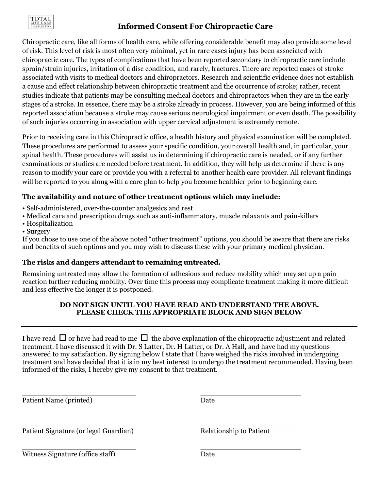

# **Informed Consent For Chiropractic Care**

Chiropractic care, like all forms of health care, while offering considerable benefit may also provide some level of risk. This level of risk is most often very minimal, yet in rare cases injury has been associated with chiropractic care. The types of complications that have been reported secondary to chiropractic care include sprain/strain injuries, irritation of a disc condition, and rarely, fractures. There are reported cases of stroke associated with visits to medical doctors and chiropractors. Research and scientific evidence does not establish a cause and effect relationship between chiropractic treatment and the occurrence of stroke; rather, recent studies indicate that patients may be consulting medical doctors and chiropractors when they are in the early stages of a stroke. In essence, there may be a stroke already in process. However, you are being informed of this reported association because a stroke may cause serious neurological impairment or even death. The possibility of such injuries occurring in association with upper cervical adjustment is extremely remote.

Prior to receiving care in this Chiropractic office, a health history and physical examination will be completed. These procedures are performed to assess your specific condition, your overall health and, in particular, your spinal health. These procedures will assist us in determining if chiropractic care is needed, or if any further examinations or studies are needed before treatment. In addition, they will help us determine if there is any reason to modify your care or provide you with a referral to another health care provider. All relevant findings will be reported to you along with a care plan to help you become healthier prior to beginning care.

## **The availability and nature of other treatment options which may include:**

- Self-administered, over-the-counter analgesics and rest
- Medical care and prescription drugs such as anti-inflammatory, muscle relaxants and pain-killers
- Hospitalization
- Surgery

If you chose to use one of the above noted "other treatment" options, you should be aware that there are risks and benefits of such options and you may wish to discuss these with your primary medical physician.

## **The risks and dangers attendant to remaining untreated.**

Remaining untreated may allow the formation of adhesions and reduce mobility which may set up a pain reaction further reducing mobility. Over time this process may complicate treatment making it more difficult and less effective the longer it is postponed.

## **DO NOT SIGN UNTIL YOU HAVE READ AND UNDERSTAND THE ABOVE. PLEASE CHECK THE APPROPRIATE BLOCK AND SIGN BELOW**

I have read  $\Box$  or have had read to me  $\Box$  the above explanation of the chiropractic adjustment and related treatment. I have discussed it with Dr. S Latter, Dr. H Latter, or Dr. A Hall, and have had my questions answered to my satisfaction. By signing below I state that I have weighed the risks involved in undergoing treatment and have decided that it is in my best interest to undergo the treatment recommended. Having been informed of the risks, I hereby give my consent to that treatment.

\_\_\_\_\_\_\_\_\_\_\_\_\_\_\_\_\_\_\_\_\_\_\_\_\_\_ \_\_\_\_\_\_\_\_\_\_\_\_\_\_\_\_\_\_\_\_\_\_\_

\_\_\_\_\_\_\_\_\_\_\_\_\_\_\_\_\_\_\_\_\_\_\_\_\_ \_\_\_\_\_\_\_\_\_\_\_\_\_\_\_\_\_\_\_\_\_\_\_

Patient Name (printed) Date

Patient Signature (or legal Guardian) Relationship to Patient

\_\_\_\_\_\_\_\_\_\_\_\_\_\_\_\_\_\_\_\_\_\_\_\_\_\_ \_\_\_\_\_\_\_\_\_\_\_\_\_\_\_\_\_\_\_\_\_\_\_ Witness Signature (office staff) Date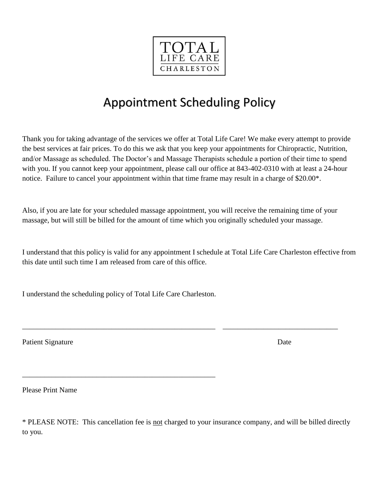

# Appointment Scheduling Policy

Thank you for taking advantage of the services we offer at Total Life Care! We make every attempt to provide the best services at fair prices. To do this we ask that you keep your appointments for Chiropractic, Nutrition, and/or Massage as scheduled. The Doctor's and Massage Therapists schedule a portion of their time to spend with you. If you cannot keep your appointment, please call our office at 843-402-0310 with at least a 24-hour notice. Failure to cancel your appointment within that time frame may result in a charge of \$20.00\*.

Also, if you are late for your scheduled massage appointment, you will receive the remaining time of your massage, but will still be billed for the amount of time which you originally scheduled your massage.

\_\_\_\_\_\_\_\_\_\_\_\_\_\_\_\_\_\_\_\_\_\_\_\_\_\_\_\_\_\_\_\_\_\_\_\_\_\_\_\_\_\_\_\_\_\_\_\_\_\_\_\_ \_\_\_\_\_\_\_\_\_\_\_\_\_\_\_\_\_\_\_\_\_\_\_\_\_\_\_\_\_\_\_

I understand that this policy is valid for any appointment I schedule at Total Life Care Charleston effective from this date until such time I am released from care of this office.

I understand the scheduling policy of Total Life Care Charleston.

\_\_\_\_\_\_\_\_\_\_\_\_\_\_\_\_\_\_\_\_\_\_\_\_\_\_\_\_\_\_\_\_\_\_\_\_\_\_\_\_\_\_\_\_\_\_\_\_\_\_\_\_

Patient Signature Date

Please Print Name

\* PLEASE NOTE: This cancellation fee is not charged to your insurance company, and will be billed directly to you.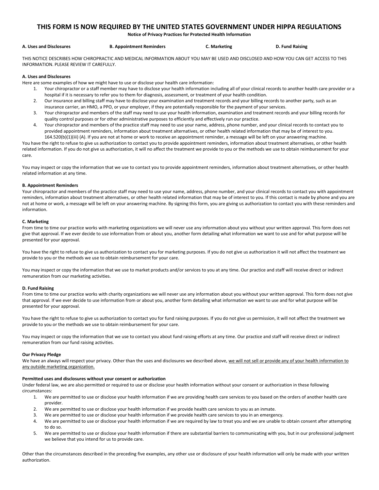## **THIS FORM IS NOW REQUIRED BY THE UNITED STATES GOVERNMENT UNDER HIPPA REGULATIONS**

**Notice of Privacy Practices for Protected Health Information**

| A. Uses and Disclosures | <b>B. Appointment Reminders</b> | C. Marketing | D. Fund Raising |
|-------------------------|---------------------------------|--------------|-----------------|
|-------------------------|---------------------------------|--------------|-----------------|

THIS NOTICE DESCRIBES HOW CHIROPRACTIC AND MEDICAL INFORMATION ABOUT YOU MAY BE USED AND DISCLOSED AND HOW YOU CAN GET ACCESS TO THIS INFORMATION. PLEASE REVIEW IT CAREFULLY.

#### **A. Uses and Disclosures**

Here are some examples of how we might have to use or disclose your health care information:

- 1. Your chiropractor or a staff member may have to disclose your health information including all of your clinical records to another health care provider or a hospital if it is necessary to refer you to them for diagnosis, assessment, or treatment of your health condition.
- 2. Our insurance and billing staff may have to disclose your examination and treatment records and your billing records to another party, such as an insurance carrier, an HMO, a PPO, or your employer, if they are potentially responsible for the payment of your services.
- 3. Your chiropractor and members of the staff may need to use your health information, examination and treatment records and your billing records for quality control purposes or for other administrative purposes to efficiently and effectively run our practice.
- 4. Your chiropractor and members of the practice staff may need to use your name, address, phone number, and your clinical records to contact you to provided appointment reminders, information about treatment alternatives, or other health related information that may be of interest to you. 164.520(b)(1)(iii) (A). If you are not at home or work to receive an appointment reminder, a message will be left on your answering machine.

You have the right to refuse to give us authorization to contact you to provide appointment reminders, information about treatment alternatives, or other health related information. If you do not give us authorization, it will no affect the treatment we provide to you or the methods we use to obtain reimbursement for your care.

You may inspect or copy the information that we use to contact you to provide appointment reminders, information about treatment alternatives, or other health related information at any time.

#### **B. Appointment Reminders**

Your chiropractor and members of the practice staff may need to use your name, address, phone number, and your clinical records to contact you with appointment reminders, information about treatment alternatives, or other health related information that may be of interest to you. If this contact is made by phone and you are not at home or work, a message will be left on your answering machine. By signing this form, you are giving us authorization to contact you with these reminders and information.

#### **C. Marketing**

From time to time our practice works with marketing organizations we will never use any information about you without your written approval. This form does not give that approval. If we ever decide to use information from or about you, another form detailing what information we want to use and for what purpose will be presented for your approval.

You have the right to refuse to give us authorization to contact you for marketing purposes. If you do not give us authorization it will not affect the treatment we provide to you or the methods we use to obtain reimbursement for your care.

You may inspect or copy the information that we use to market products and/or services to you at any time. Our practice and staff will receive direct or indirect remuneration from our marketing activities.

#### **D. Fund Raising**

From time to time our practice works with charity organizations we will never use any information about you without your written approval. This form does not give that approval. If we ever decide to use information from or about you, another form detailing what information we want to use and for what purpose will be presented for your approval.

You have the right to refuse to give us authorization to contact you for fund raising purposes. If you do not give us permission, it will not affect the treatment we provide to you or the methods we use to obtain reimbursement for your care.

You may inspect or copy the information that we use to contact you about fund raising efforts at any time. Our practice and staff will receive direct or indirect remuneration from our fund raising activities.

#### **Our Privacy Pledge**

We have an always will respect your privacy. Other than the uses and disclosures we described above, we will not sell or provide any of your health information to any outside marketing organization.

#### **Permitted uses and disclosures without your consent or authorization**

Under federal law, we are also permitted or required to use or disclose your health information without your consent or authorization in these following circumstances:

- 1. We are permitted to use or disclose your health information if we are providing health care services to you based on the orders of another health care provider.
- 2. We are permitted to use or disclose your health information if we provide health care services to you as an inmate.
- 3. We are permitted to use or disclose your health information if we provide health care services to you in an emergency.
- 4. We are permitted to use or disclose your health information if we are required by law to treat you and we are unable to obtain consent after attempting to do so.
- 5. We are permitted to use or disclose your health information if there are substantial barriers to communicating with you, but in our professional judgment we believe that you intend for us to provide care.

Other than the circumstances described in the preceding five examples, any other use or disclosure of your health information will only be made with your written authorization.